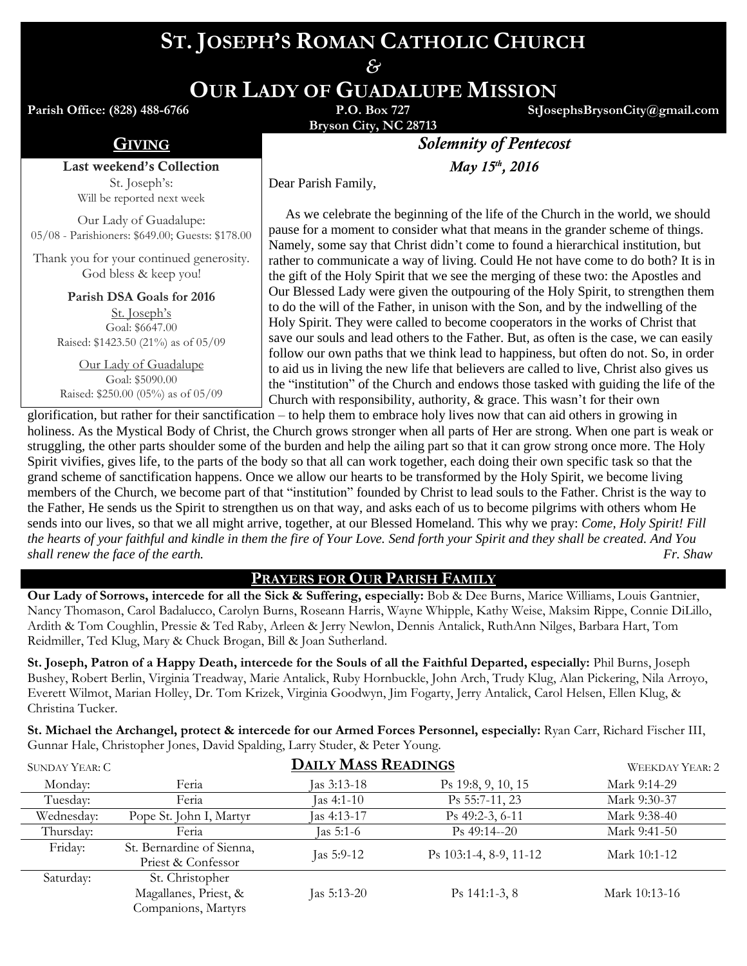# **ST. JOSEPH'S ROMAN CATHOLIC CHURCH**

*&*

**OUR LADY OF GUADALUPE MISSION**

**Parish Office: (828) 488-6766** 

**Bryson City, NC 28713**

**StJosephsBrysonCity@gmail.com**

Last weekend's Collection St. Joseph's: Will be reported next week

Our Lady of Guadalupe: 05/08 - Parishioners: \$649.00; Guests: \$178.00

Thank you for your continued generosity. God bless & keep you!

> **Parish DSA Goals for 2016** St. Joseph's Goal: \$6647.00 Raised: \$1423.50 (21%) as of 05/09

Our Lady of Guadalupe Goal: \$5090.00 Raised: \$250.00 (05%) as of 05/09

GIVING *Solemnity of Pentecost*

*May* 15<sup>th</sup>, 2016

Dear Parish Family,

 As we celebrate the beginning of the life of the Church in the world, we should pause for a moment to consider what that means in the grander scheme of things. Namely, some say that Christ didn't come to found a hierarchical institution, but rather to communicate a way of living. Could He not have come to do both? It is in the gift of the Holy Spirit that we see the merging of these two: the Apostles and Our Blessed Lady were given the outpouring of the Holy Spirit, to strengthen them to do the will of the Father, in unison with the Son, and by the indwelling of the Holy Spirit. They were called to become cooperators in the works of Christ that save our souls and lead others to the Father. But, as often is the case, we can easily follow our own paths that we think lead to happiness, but often do not. So, in order to aid us in living the new life that believers are called to live, Christ also gives us the "institution" of the Church and endows those tasked with guiding the life of the Church with responsibility, authority, & grace. This wasn't for their own

glorification, but rather for their sanctification – to help them to embrace holy lives now that can aid others in growing in holiness. As the Mystical Body of Christ, the Church grows stronger when all parts of Her are strong. When one part is weak or struggling, the other parts shoulder some of the burden and help the ailing part so that it can grow strong once more. The Holy Spirit vivifies, gives life, to the parts of the body so that all can work together, each doing their own specific task so that the grand scheme of sanctification happens. Once we allow our hearts to be transformed by the Holy Spirit, we become living members of the Church, we become part of that "institution" founded by Christ to lead souls to the Father. Christ is the way to the Father, He sends us the Spirit to strengthen us on that way, and asks each of us to become pilgrims with others whom He sends into our lives, so that we all might arrive, together, at our Blessed Homeland. This why we pray: *Come, Holy Spirit! Fill the hearts of your faithful and kindle in them the fire of Your Love. Send forth your Spirit and they shall be created. And You shall renew the face of the earth. Fr. Shaw*

## **PRAYERS FOR OUR PARISH FAMILY**

**Our Lady of Sorrows, intercede for all the Sick & Suffering, especially:** Bob & Dee Burns, Marice Williams, Louis Gantnier, Nancy Thomason, Carol Badalucco, Carolyn Burns, Roseann Harris, Wayne Whipple, Kathy Weise, Maksim Rippe, Connie DiLillo, Ardith & Tom Coughlin, Pressie & Ted Raby, Arleen & Jerry Newlon, Dennis Antalick, RuthAnn Nilges, Barbara Hart, Tom Reidmiller, Ted Klug, Mary & Chuck Brogan, Bill & Joan Sutherland.

**St. Joseph, Patron of a Happy Death, intercede for the Souls of all the Faithful Departed, especially:** Phil Burns, Joseph Bushey, Robert Berlin, Virginia Treadway, Marie Antalick, Ruby Hornbuckle, John Arch, Trudy Klug, Alan Pickering, Nila Arroyo, Everett Wilmot, Marian Holley, Dr. Tom Krizek, Virginia Goodwyn, Jim Fogarty, Jerry Antalick, Carol Helsen, Ellen Klug, & Christina Tucker.

**St. Michael the Archangel, protect & intercede for our Armed Forces Personnel, especially:** Ryan Carr, Richard Fischer III, Gunnar Hale, Christopher Jones, David Spalding, Larry Studer, & Peter Young.

| SUNDAY YEAR: C |                                                                 | <b>DAILY MASS READINGS</b> |                        | WEEKDAY YEAR: 2 |
|----------------|-----------------------------------------------------------------|----------------------------|------------------------|-----------------|
| Monday:        | Feria                                                           | Jas 3:13-18                | Ps 19:8, 9, 10, 15     | Mark 9:14-29    |
| Tuesday:       | Feria                                                           | $\text{Las } 4:1-10$       | Ps 55:7-11, 23         | Mark 9:30-37    |
| Wednesday:     | Pope St. John I, Martyr                                         | Jas 4:13-17                | Ps 49:2-3, 6-11        | Mark 9:38-40    |
| Thursday:      | Feria                                                           | Jas 5:1-6                  | $Ps$ 49:14--20         | Mark 9:41-50    |
| Friday:        | St. Bernardine of Sienna,<br>Priest & Confessor                 | Jas $5:9-12$               | Ps 103:1-4, 8-9, 11-12 | Mark 10:1-12    |
| Saturday:      | St. Christopher<br>Magallanes, Priest, &<br>Companions, Martyrs | Jas $5:13-20$              | $Ps$ 141:1-3, 8        | Mark 10:13-16   |